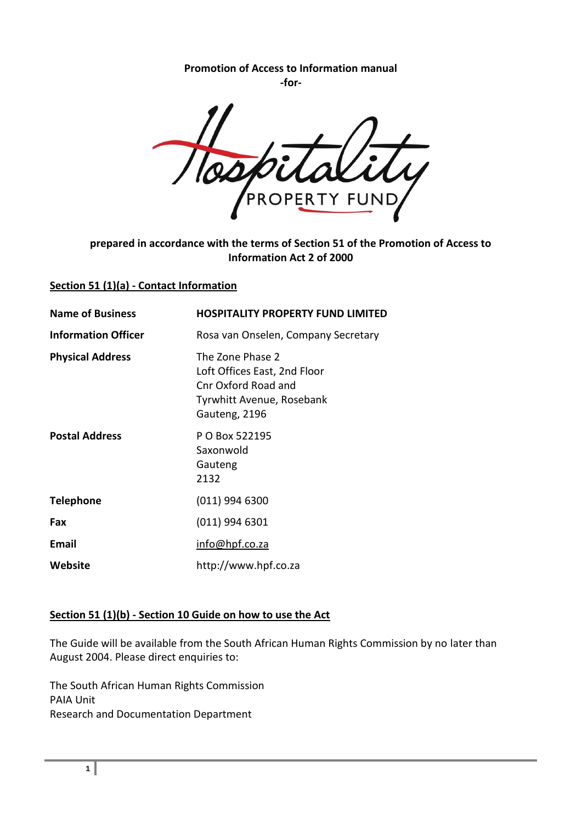**Promotion of Access to Information manual -for-**

### **prepared in accordance with the terms of Section 51 of the Promotion of Access to Information Act 2 of 2000**

#### **Section 51 (1)(a) - Contact Information**

| <b>Name of Business</b>    | <b>HOSPITALITY PROPERTY FUND LIMITED</b>                                                                              |
|----------------------------|-----------------------------------------------------------------------------------------------------------------------|
| <b>Information Officer</b> | Rosa van Onselen, Company Secretary                                                                                   |
| <b>Physical Address</b>    | The Zone Phase 2<br>Loft Offices East, 2nd Floor<br>Cnr Oxford Road and<br>Tyrwhitt Avenue, Rosebank<br>Gauteng, 2196 |
| <b>Postal Address</b>      | P O Box 522195<br>Saxonwold<br>Gauteng<br>2132                                                                        |
| <b>Telephone</b>           | $(011)$ 994 6300                                                                                                      |
| Fax                        | $(011)$ 994 6301                                                                                                      |
| <b>Email</b>               | info@hpf.co.za                                                                                                        |
| Website                    | http://www.hpf.co.za                                                                                                  |

## **Section 51 (1)(b) - Section 10 Guide on how to use the Act**

The Guide will be available from the South African Human Rights Commission by no later than August 2004. Please direct enquiries to:

The South African Human Rights Commission PAIA Unit Research and Documentation Department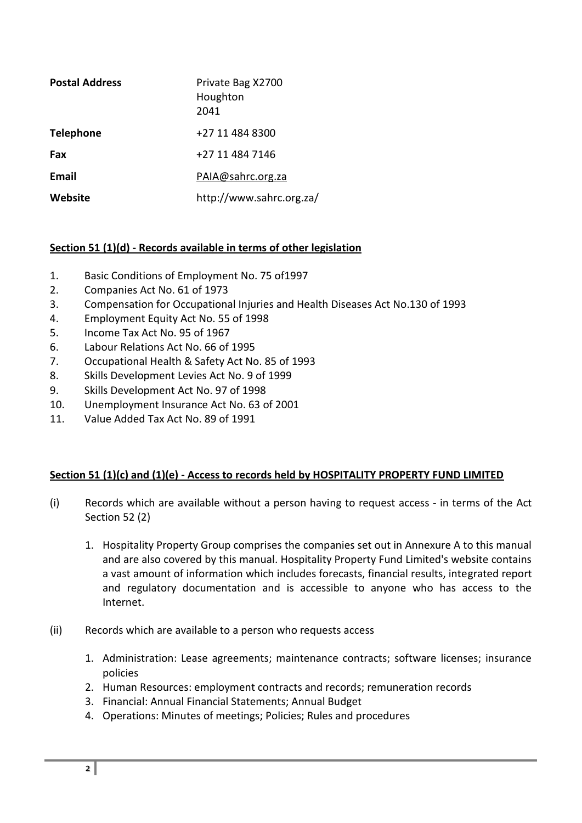| <b>Postal Address</b> | Private Bag X2700<br>Houghton<br>2041 |
|-----------------------|---------------------------------------|
| <b>Telephone</b>      | +27 11 484 8300                       |
| Fax                   | +27 11 484 7146                       |
| <b>Email</b>          | PAIA@sahrc.org.za                     |
| Website               | http://www.sahrc.org.za/              |

## **Section 51 (1)(d) - Records available in terms of other legislation**

- 1. Basic Conditions of Employment No. 75 of1997
- 2. Companies Act No. 61 of 1973
- 3. Compensation for Occupational Injuries and Health Diseases Act No.130 of 1993
- 4. Employment Equity Act No. 55 of 1998
- 5. Income Tax Act No. 95 of 1967
- 6. Labour Relations Act No. 66 of 1995
- 7. Occupational Health & Safety Act No. 85 of 1993
- 8. Skills Development Levies Act No. 9 of 1999
- 9. Skills Development Act No. 97 of 1998
- 10. Unemployment Insurance Act No. 63 of 2001
- 11. Value Added Tax Act No. 89 of 1991

### **Section 51 (1)(c) and (1)(e) - Access to records held by HOSPITALITY PROPERTY FUND LIMITED**

- (i) Records which are available without a person having to request access in terms of the Act Section 52 (2)
	- 1. Hospitality Property Group comprises the companies set out in Annexure A to this manual and are also covered by this manual. Hospitality Property Fund Limited's website contains a vast amount of information which includes forecasts, financial results, integrated report and regulatory documentation and is accessible to anyone who has access to the Internet.
- (ii) Records which are available to a person who requests access
	- 1. Administration: Lease agreements; maintenance contracts; software licenses; insurance policies
	- 2. Human Resources: employment contracts and records; remuneration records
	- 3. Financial: Annual Financial Statements; Annual Budget
	- 4. Operations: Minutes of meetings; Policies; Rules and procedures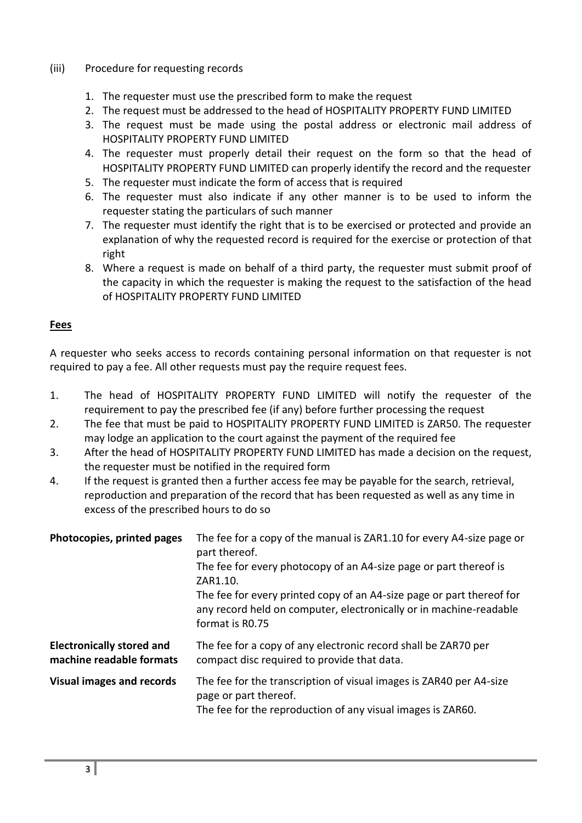### (iii) Procedure for requesting records

- 1. The requester must use the prescribed form to make the request
- 2. The request must be addressed to the head of HOSPITALITY PROPERTY FUND LIMITED
- 3. The request must be made using the postal address or electronic mail address of HOSPITALITY PROPERTY FUND LIMITED
- 4. The requester must properly detail their request on the form so that the head of HOSPITALITY PROPERTY FUND LIMITED can properly identify the record and the requester
- 5. The requester must indicate the form of access that is required
- 6. The requester must also indicate if any other manner is to be used to inform the requester stating the particulars of such manner
- 7. The requester must identify the right that is to be exercised or protected and provide an explanation of why the requested record is required for the exercise or protection of that right
- 8. Where a request is made on behalf of a third party, the requester must submit proof of the capacity in which the requester is making the request to the satisfaction of the head of HOSPITALITY PROPERTY FUND LIMITED

### **Fees**

A requester who seeks access to records containing personal information on that requester is not required to pay a fee. All other requests must pay the require request fees.

- 1. The head of HOSPITALITY PROPERTY FUND LIMITED will notify the requester of the requirement to pay the prescribed fee (if any) before further processing the request
- 2. The fee that must be paid to HOSPITALITY PROPERTY FUND LIMITED is ZAR50. The requester may lodge an application to the court against the payment of the required fee
- 3. After the head of HOSPITALITY PROPERTY FUND LIMITED has made a decision on the request, the requester must be notified in the required form
- 4. If the request is granted then a further access fee may be payable for the search, retrieval, reproduction and preparation of the record that has been requested as well as any time in excess of the prescribed hours to do so

| Photocopies, printed pages                                   | The fee for a copy of the manual is ZAR1.10 for every A4-size page or<br>part thereof.<br>The fee for every photocopy of an A4-size page or part thereof is<br>ZAR1.10.<br>The fee for every printed copy of an A4-size page or part thereof for<br>any record held on computer, electronically or in machine-readable<br>format is R0.75 |
|--------------------------------------------------------------|-------------------------------------------------------------------------------------------------------------------------------------------------------------------------------------------------------------------------------------------------------------------------------------------------------------------------------------------|
| <b>Electronically stored and</b><br>machine readable formats | The fee for a copy of any electronic record shall be ZAR70 per<br>compact disc required to provide that data.                                                                                                                                                                                                                             |
| <b>Visual images and records</b>                             | The fee for the transcription of visual images is ZAR40 per A4-size<br>page or part thereof.<br>The fee for the reproduction of any visual images is ZAR60.                                                                                                                                                                               |